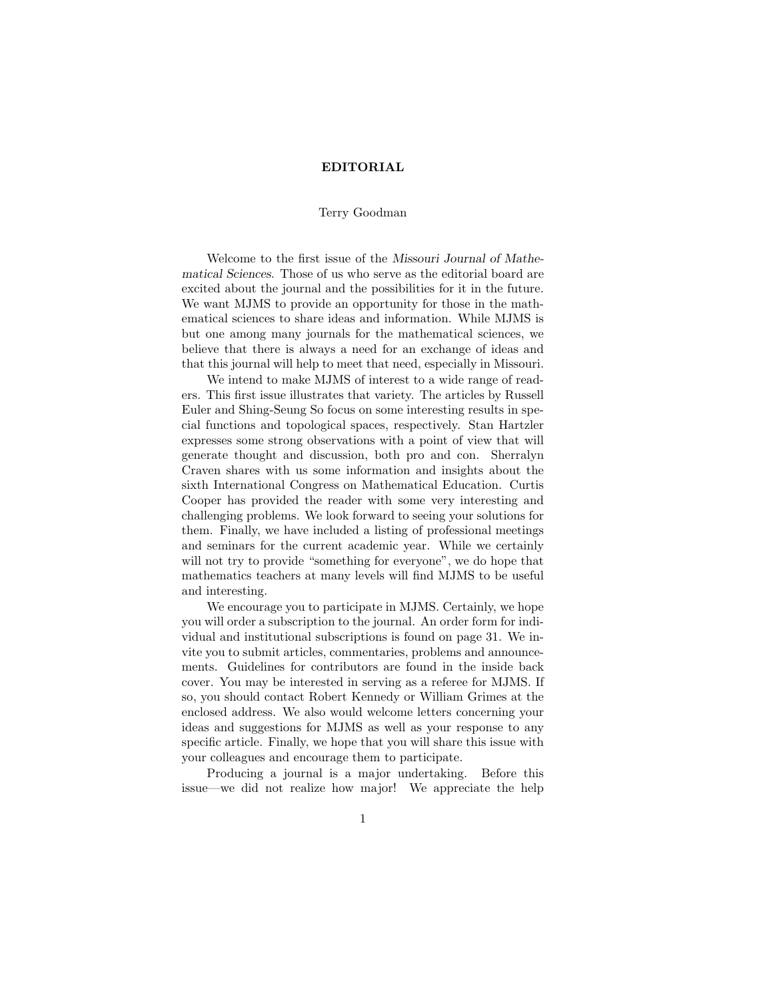## EDITORIAL

## Terry Goodman

Welcome to the first issue of the Missouri Journal of Mathematical Sciences. Those of us who serve as the editorial board are excited about the journal and the possibilities for it in the future. We want MJMS to provide an opportunity for those in the mathematical sciences to share ideas and information. While MJMS is but one among many journals for the mathematical sciences, we believe that there is always a need for an exchange of ideas and that this journal will help to meet that need, especially in Missouri.

We intend to make MJMS of interest to a wide range of readers. This first issue illustrates that variety. The articles by Russell Euler and Shing-Seung So focus on some interesting results in special functions and topological spaces, respectively. Stan Hartzler expresses some strong observations with a point of view that will generate thought and discussion, both pro and con. Sherralyn Craven shares with us some information and insights about the sixth International Congress on Mathematical Education. Curtis Cooper has provided the reader with some very interesting and challenging problems. We look forward to seeing your solutions for them. Finally, we have included a listing of professional meetings and seminars for the current academic year. While we certainly will not try to provide "something for everyone", we do hope that mathematics teachers at many levels will find MJMS to be useful and interesting.

We encourage you to participate in MJMS. Certainly, we hope you will order a subscription to the journal. An order form for individual and institutional subscriptions is found on page 31. We invite you to submit articles, commentaries, problems and announcements. Guidelines for contributors are found in the inside back cover. You may be interested in serving as a referee for MJMS. If so, you should contact Robert Kennedy or William Grimes at the enclosed address. We also would welcome letters concerning your ideas and suggestions for MJMS as well as your response to any specific article. Finally, we hope that you will share this issue with your colleagues and encourage them to participate.

Producing a journal is a major undertaking. Before this issue—we did not realize how major! We appreciate the help